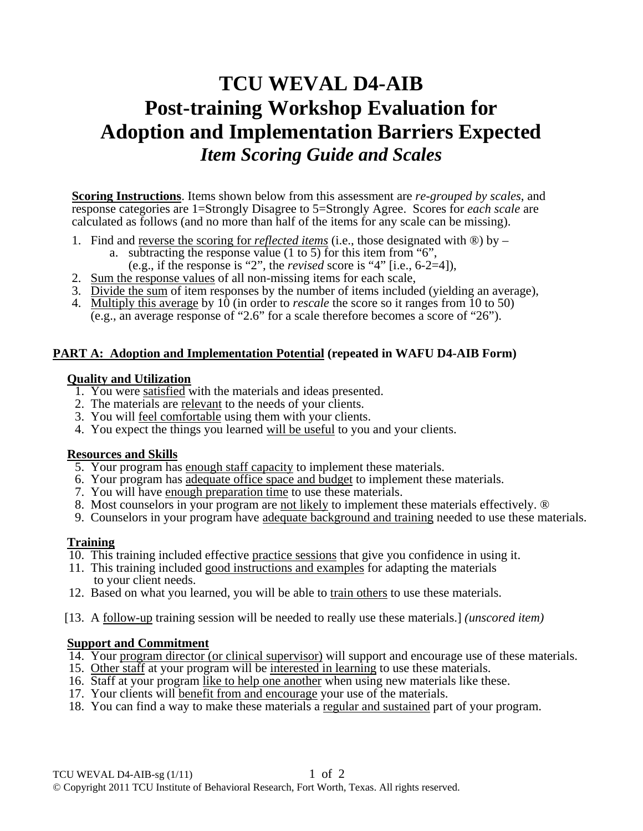# **TCU WEVAL D4-AIB Post-training Workshop Evaluation for Adoption and Implementation Barriers Expected**  *Item Scoring Guide and Scales*

**Scoring Instructions**. Items shown below from this assessment are *re-grouped by scales*, and response categories are 1=Strongly Disagree to 5=Strongly Agree. Scores for *each scale* are calculated as follows (and no more than half of the items for any scale can be missing).

- 1. Find and reverse the scoring for *reflected items* (i.e., those designated with ®) by
	- a. subtracting the response value (1 to 5) for this item from "6",
		- (e.g., if the response is "2", the *revised* score is "4" [i.e., 6-2=4]),
- 2. Sum the response values of all non-missing items for each scale,
- 3. Divide the sum of item responses by the number of items included (yielding an average),
- 4. Multiply this average by 10 (in order to *rescale* the score so it ranges from 10 to 50) (e.g., an average response of "2.6" for a scale therefore becomes a score of "26").

## **PART A: Adoption and Implementation Potential (repeated in WAFU D4-AIB Form)**

#### **Quality and Utilization**

- 1. You were satisfied with the materials and ideas presented.
- 2. The materials are relevant to the needs of your clients.
- 3. You will feel comfortable using them with your clients.
- 4. You expect the things you learned will be useful to you and your clients.

## **Resources and Skills**

- 5. Your program has enough staff capacity to implement these materials.
- 6. Your program has adequate office space and budget to implement these materials.
- 7. You will have enough preparation time to use these materials.
- 8. Most counselors in your program are not likely to implement these materials effectively. ®
- 9. Counselors in your program have adequate background and training needed to use these materials.

## **Training**

- 10. This training included effective practice sessions that give you confidence in using it.
- 11. This training included good instructions and examples for adapting the materials to your client needs.
- 12. Based on what you learned, you will be able to train others to use these materials.
- [13. A follow-up training session will be needed to really use these materials.] *(unscored item)*

## **Support and Commitment**

- 14. Your program director (or clinical supervisor) will support and encourage use of these materials.
- 15. Other staff at your program will be interested in learning to use these materials.
- 16. Staff at your program like to help one another when using new materials like these.
- 17. Your clients will benefit from and encourage your use of the materials.
- 18. You can find a way to make these materials a regular and sustained part of your program.